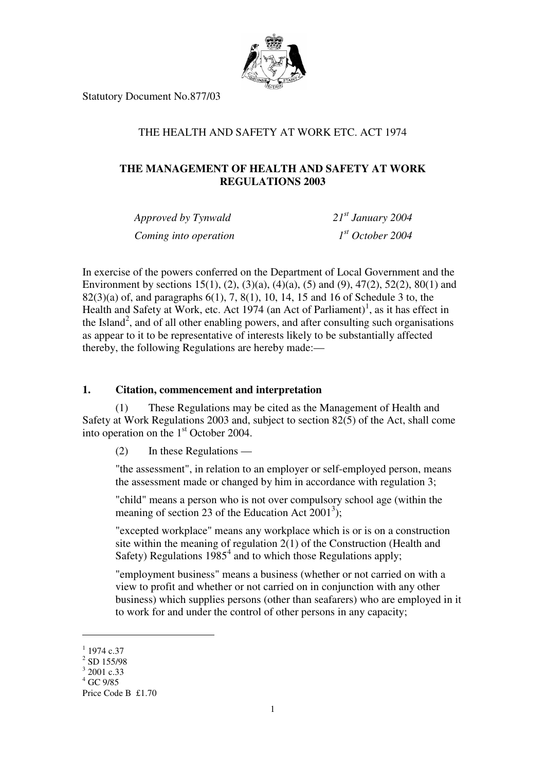

Statutory Document No.877/03

# THE HEALTH AND SAFETY AT WORK ETC. ACT 1974

# **THE MANAGEMENT OF HEALTH AND SAFETY AT WORK REGULATIONS 2003**

*Approved by Tynwald 21 Coming into operation 1*

*st January 2004 st October 2004*

In exercise of the powers conferred on the Department of Local Government and the Environment by sections 15(1), (2), (3)(a), (4)(a), (5) and (9), 47(2), 52(2), 80(1) and 82(3)(a) of, and paragraphs  $6(1)$ , 7,  $8(1)$ , 10, 14, 15 and 16 of Schedule 3 to, the Health and Safety at Work, etc. Act 1974 (an Act of Parliament)<sup>1</sup>, as it has effect in the Island<sup>2</sup>, and of all other enabling powers, and after consulting such organisations as appear to it to be representative of interests likely to be substantially affected thereby, the following Regulations are hereby made:—

### **1. Citation, commencement and interpretation**

(1) These Regulations may be cited as the Management of Health and Safety at Work Regulations 2003 and, subject to section 82(5) of the Act, shall come into operation on the 1<sup>st</sup> October 2004.

(2) In these Regulations —

"the assessment", in relation to an employer or self-employed person, means the assessment made or changed by him in accordance with regulation 3;

"child" means a person who is not over compulsory school age (within the meaning of section 23 of the Education Act  $2001^3$ ;

"excepted workplace" means any workplace which is or is on a construction site within the meaning of regulation 2(1) of the Construction (Health and Safety) Regulations 1985<sup>4</sup> and to which those Regulations apply;

"employment business" means a business (whether or not carried on with a view to profit and whether or not carried on in conjunction with any other business) which supplies persons (other than seafarers) who are employed in it to work for and under the control of other persons in any capacity;

 $1$  1974 c.37

 $2$  SD 155/98

 $3\,2001$  c.33

 $^{4}$  GC 9/85

Price Code B £1.70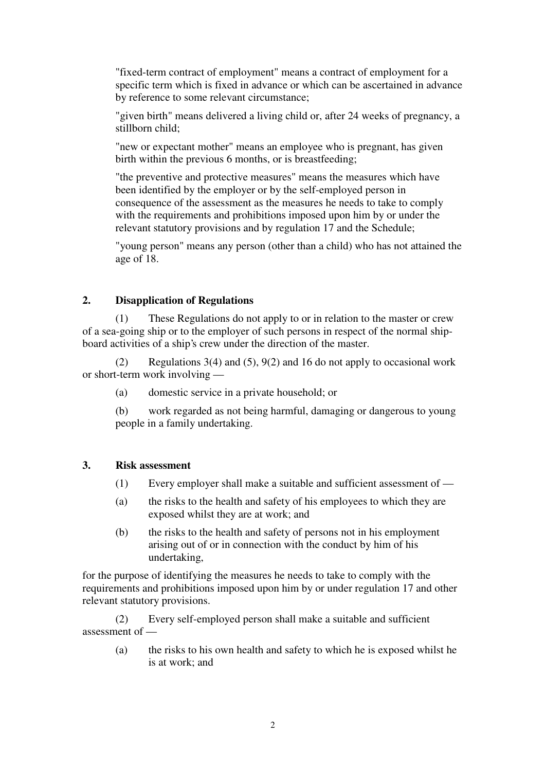"fixed-term contract of employment" means a contract of employment for a specific term which is fixed in advance or which can be ascertained in advance by reference to some relevant circumstance;

"given birth" means delivered a living child or, after 24 weeks of pregnancy, a stillborn child;

"new or expectant mother" means an employee who is pregnant, has given birth within the previous 6 months, or is breastfeeding;

"the preventive and protective measures" means the measures which have been identified by the employer or by the self-employed person in consequence of the assessment as the measures he needs to take to comply with the requirements and prohibitions imposed upon him by or under the relevant statutory provisions and by regulation 17 and the Schedule;

"young person" means any person (other than a child) who has not attained the age of 18.

#### **2. Disapplication of Regulations**

(1) These Regulations do not apply to or in relation to the master or crew of a sea-going ship or to the employer of such persons in respect of the normal shipboard activities of a ship's crew under the direction of the master.

(2) Regulations 3(4) and (5), 9(2) and 16 do not apply to occasional work or short-term work involving —

(a) domestic service in a private household; or

(b) work regarded as not being harmful, damaging or dangerous to young people in a family undertaking.

#### **3. Risk assessment**

- (1) Every employer shall make a suitable and sufficient assessment of —
- (a) the risks to the health and safety of his employees to which they are exposed whilst they are at work; and
- (b) the risks to the health and safety of persons not in his employment arising out of or in connection with the conduct by him of his undertaking,

for the purpose of identifying the measures he needs to take to comply with the requirements and prohibitions imposed upon him by or under regulation 17 and other relevant statutory provisions.

(2) Every self-employed person shall make a suitable and sufficient assessment of —

(a) the risks to his own health and safety to which he is exposed whilst he is at work; and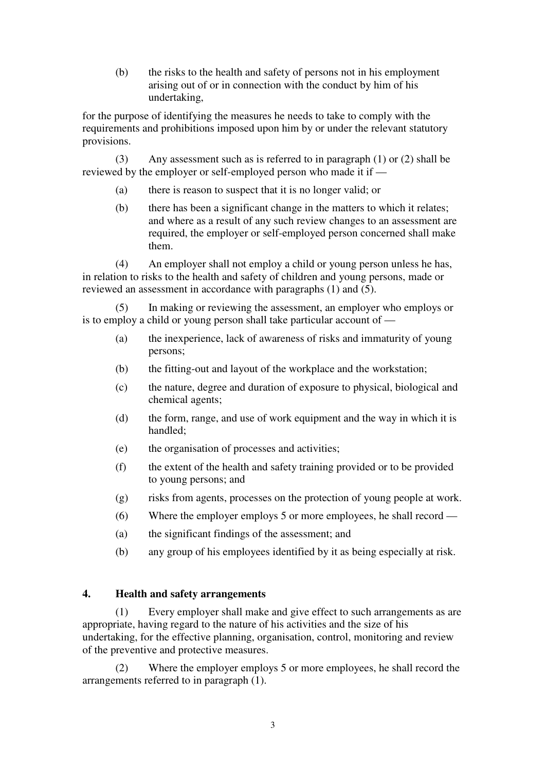(b) the risks to the health and safety of persons not in his employment arising out of or in connection with the conduct by him of his undertaking,

for the purpose of identifying the measures he needs to take to comply with the requirements and prohibitions imposed upon him by or under the relevant statutory provisions.

(3) Any assessment such as is referred to in paragraph (1) or (2) shall be reviewed by the employer or self-employed person who made it if —

- (a) there is reason to suspect that it is no longer valid; or
- (b) there has been a significant change in the matters to which it relates; and where as a result of any such review changes to an assessment are required, the employer or self-employed person concerned shall make them.

(4) An employer shall not employ a child or young person unless he has, in relation to risks to the health and safety of children and young persons, made or reviewed an assessment in accordance with paragraphs (1) and (5).

(5) In making or reviewing the assessment, an employer who employs or is to employ a child or young person shall take particular account of —

- (a) the inexperience, lack of awareness of risks and immaturity of young persons;
- (b) the fitting-out and layout of the workplace and the workstation;
- (c) the nature, degree and duration of exposure to physical, biological and chemical agents;
- (d) the form, range, and use of work equipment and the way in which it is handled;
- (e) the organisation of processes and activities;
- (f) the extent of the health and safety training provided or to be provided to young persons; and
- (g) risks from agents, processes on the protection of young people at work.
- (6) Where the employer employs 5 or more employees, he shall record —
- (a) the significant findings of the assessment; and
- (b) any group of his employees identified by it as being especially at risk.

#### **4. Health and safety arrangements**

(1) Every employer shall make and give effect to such arrangements as are appropriate, having regard to the nature of his activities and the size of his undertaking, for the effective planning, organisation, control, monitoring and review of the preventive and protective measures.

(2) Where the employer employs 5 or more employees, he shall record the arrangements referred to in paragraph (1).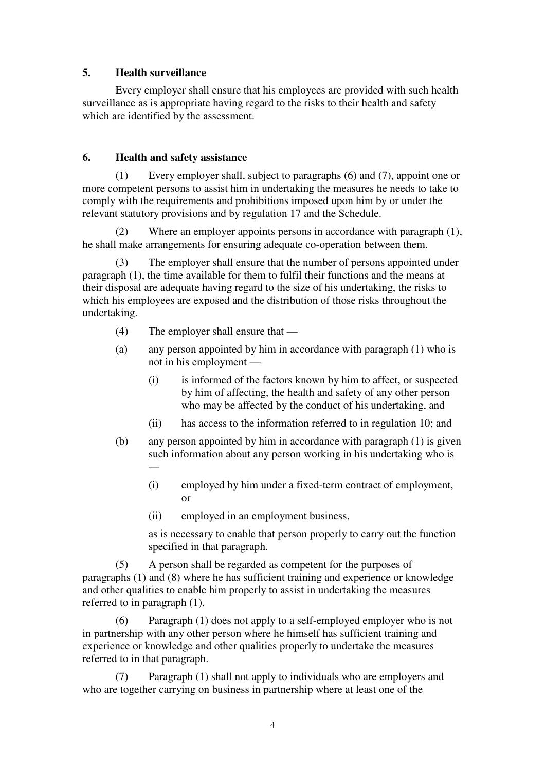### **5. Health surveillance**

Every employer shall ensure that his employees are provided with such health surveillance as is appropriate having regard to the risks to their health and safety which are identified by the assessment.

#### **6. Health and safety assistance**

(1) Every employer shall, subject to paragraphs (6) and (7), appoint one or more competent persons to assist him in undertaking the measures he needs to take to comply with the requirements and prohibitions imposed upon him by or under the relevant statutory provisions and by regulation 17 and the Schedule.

(2) Where an employer appoints persons in accordance with paragraph (1), he shall make arrangements for ensuring adequate co-operation between them.

The employer shall ensure that the number of persons appointed under paragraph (1), the time available for them to fulfil their functions and the means at their disposal are adequate having regard to the size of his undertaking, the risks to which his employees are exposed and the distribution of those risks throughout the undertaking.

- (4) The employer shall ensure that —
- (a) any person appointed by him in accordance with paragraph (1) who is not in his employment —
	- (i) is informed of the factors known by him to affect, or suspected by him of affecting, the health and safety of any other person who may be affected by the conduct of his undertaking, and
	- (ii) has access to the information referred to in regulation 10; and
- (b) any person appointed by him in accordance with paragraph (1) is given such information about any person working in his undertaking who is —
	- (i) employed by him under a fixed-term contract of employment, or
	- (ii) employed in an employment business,

as is necessary to enable that person properly to carry out the function specified in that paragraph.

(5) A person shall be regarded as competent for the purposes of paragraphs (1) and (8) where he has sufficient training and experience or knowledge and other qualities to enable him properly to assist in undertaking the measures referred to in paragraph (1).

(6) Paragraph (1) does not apply to a self-employed employer who is not in partnership with any other person where he himself has sufficient training and experience or knowledge and other qualities properly to undertake the measures referred to in that paragraph.

(7) Paragraph (1) shall not apply to individuals who are employers and who are together carrying on business in partnership where at least one of the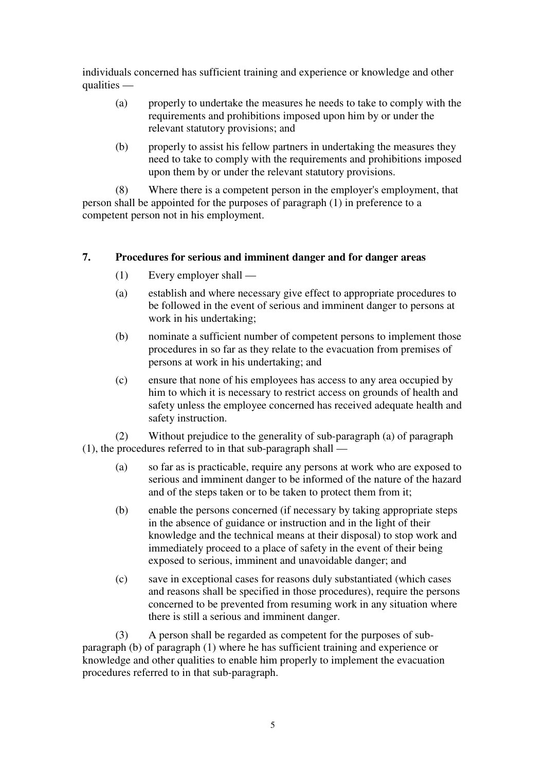individuals concerned has sufficient training and experience or knowledge and other qualities —

- (a) properly to undertake the measures he needs to take to comply with the requirements and prohibitions imposed upon him by or under the relevant statutory provisions; and
- (b) properly to assist his fellow partners in undertaking the measures they need to take to comply with the requirements and prohibitions imposed upon them by or under the relevant statutory provisions.

(8) Where there is a competent person in the employer's employment, that person shall be appointed for the purposes of paragraph (1) in preference to a competent person not in his employment.

## **7. Procedures for serious and imminent danger and for danger areas**

- (1) Every employer shall —
- (a) establish and where necessary give effect to appropriate procedures to be followed in the event of serious and imminent danger to persons at work in his undertaking;
- (b) nominate a sufficient number of competent persons to implement those procedures in so far as they relate to the evacuation from premises of persons at work in his undertaking; and
- (c) ensure that none of his employees has access to any area occupied by him to which it is necessary to restrict access on grounds of health and safety unless the employee concerned has received adequate health and safety instruction.

(2) Without prejudice to the generality of sub-paragraph (a) of paragraph (1), the procedures referred to in that sub-paragraph shall —

- (a) so far as is practicable, require any persons at work who are exposed to serious and imminent danger to be informed of the nature of the hazard and of the steps taken or to be taken to protect them from it;
- (b) enable the persons concerned (if necessary by taking appropriate steps in the absence of guidance or instruction and in the light of their knowledge and the technical means at their disposal) to stop work and immediately proceed to a place of safety in the event of their being exposed to serious, imminent and unavoidable danger; and
- (c) save in exceptional cases for reasons duly substantiated (which cases and reasons shall be specified in those procedures), require the persons concerned to be prevented from resuming work in any situation where there is still a serious and imminent danger.

(3) A person shall be regarded as competent for the purposes of subparagraph (b) of paragraph (1) where he has sufficient training and experience or knowledge and other qualities to enable him properly to implement the evacuation procedures referred to in that sub-paragraph.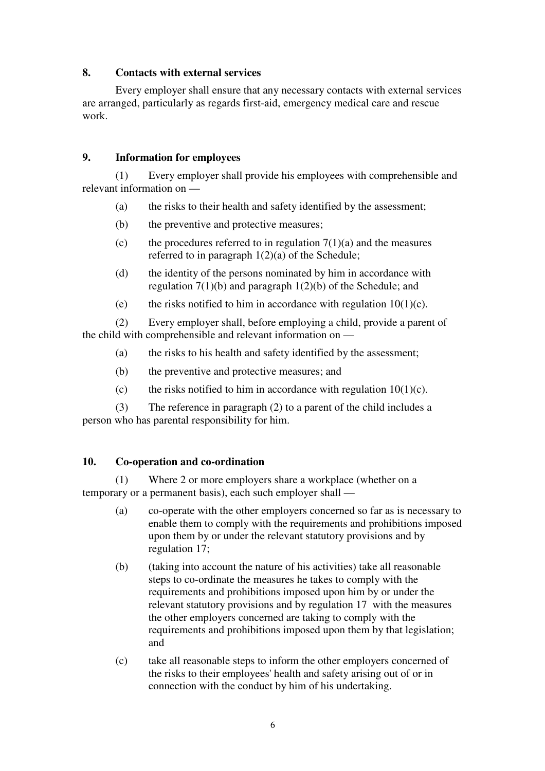## **8. Contacts with external services**

Every employer shall ensure that any necessary contacts with external services are arranged, particularly as regards first-aid, emergency medical care and rescue work.

## **9. Information for employees**

(1) Every employer shall provide his employees with comprehensible and relevant information on —

- (a) the risks to their health and safety identified by the assessment;
- (b) the preventive and protective measures;
- (c) the procedures referred to in regulation  $7(1)(a)$  and the measures referred to in paragraph 1(2)(a) of the Schedule;
- (d) the identity of the persons nominated by him in accordance with regulation  $7(1)(b)$  and paragraph  $1(2)(b)$  of the Schedule; and
- (e) the risks notified to him in accordance with regulation  $10(1)(c)$ .

(2) Every employer shall, before employing a child, provide a parent of the child with comprehensible and relevant information on —

- (a) the risks to his health and safety identified by the assessment;
- (b) the preventive and protective measures; and
- (c) the risks notified to him in accordance with regulation  $10(1)(c)$ .

(3) The reference in paragraph (2) to a parent of the child includes a person who has parental responsibility for him.

# **10. Co-operation and co-ordination**

(1) Where 2 or more employers share a workplace (whether on a temporary or a permanent basis), each such employer shall —

- (a) co-operate with the other employers concerned so far as is necessary to enable them to comply with the requirements and prohibitions imposed upon them by or under the relevant statutory provisions and by regulation 17;
- (b) (taking into account the nature of his activities) take all reasonable steps to co-ordinate the measures he takes to comply with the requirements and prohibitions imposed upon him by or under the relevant statutory provisions and by regulation 17 with the measures the other employers concerned are taking to comply with the requirements and prohibitions imposed upon them by that legislation; and
- (c) take all reasonable steps to inform the other employers concerned of the risks to their employees'health and safety arising out of or in connection with the conduct by him of his undertaking.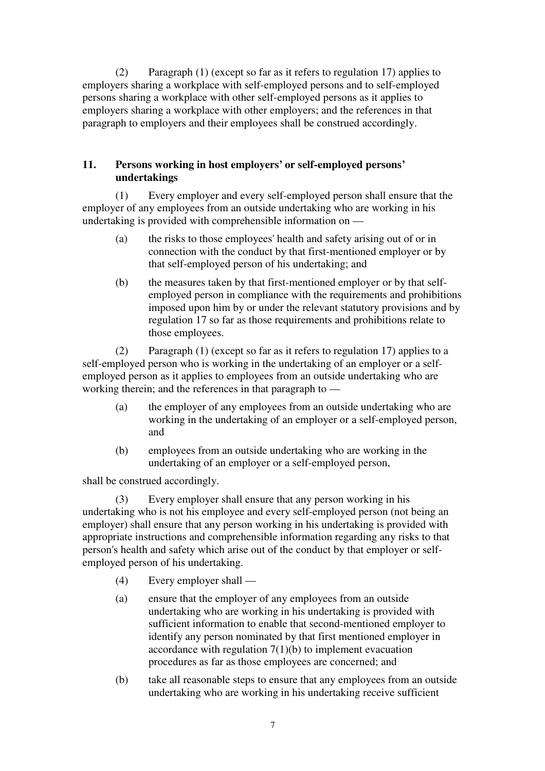(2) Paragraph (1) (except so far as it refers to regulation 17) applies to employers sharing a workplace with self-employed persons and to self-employed persons sharing a workplace with other self-employed persons as it applies to employers sharing a workplace with other employers; and the references in that paragraph to employers and their employees shall be construed accordingly.

## **11. Persons working in host employers' or self-employed persons' undertakings**

(1) Every employer and every self-employed person shall ensure that the employer of any employees from an outside undertaking who are working in his undertaking is provided with comprehensible information on —

- (a) the risks to those employees'health and safety arising out of or in connection with the conduct by that first-mentioned employer or by that self-employed person of his undertaking; and
- (b) the measures taken by that first-mentioned employer or by that selfemployed person in compliance with the requirements and prohibitions imposed upon him by or under the relevant statutory provisions and by regulation 17 so far as those requirements and prohibitions relate to those employees.

(2) Paragraph (1) (except so far as it refers to regulation 17) applies to a self-employed person who is working in the undertaking of an employer or a selfemployed person as it applies to employees from an outside undertaking who are working therein; and the references in that paragraph to —

- (a) the employer of any employees from an outside undertaking who are working in the undertaking of an employer or a self-employed person, and
- (b) employees from an outside undertaking who are working in the undertaking of an employer or a self-employed person,

shall be construed accordingly.

(3) Every employer shall ensure that any person working in his undertaking who is not his employee and every self-employed person (not being an employer) shall ensure that any person working in his undertaking is provided with appropriate instructions and comprehensible information regarding any risks to that person's health and safety which arise out of the conduct by that employer or selfemployed person of his undertaking.

- (4) Every employer shall —
- (a) ensure that the employer of any employees from an outside undertaking who are working in his undertaking is provided with sufficient information to enable that second-mentioned employer to identify any person nominated by that first mentioned employer in accordance with regulation  $7(1)(b)$  to implement evacuation procedures as far as those employees are concerned; and
- (b) take all reasonable steps to ensure that any employees from an outside undertaking who are working in his undertaking receive sufficient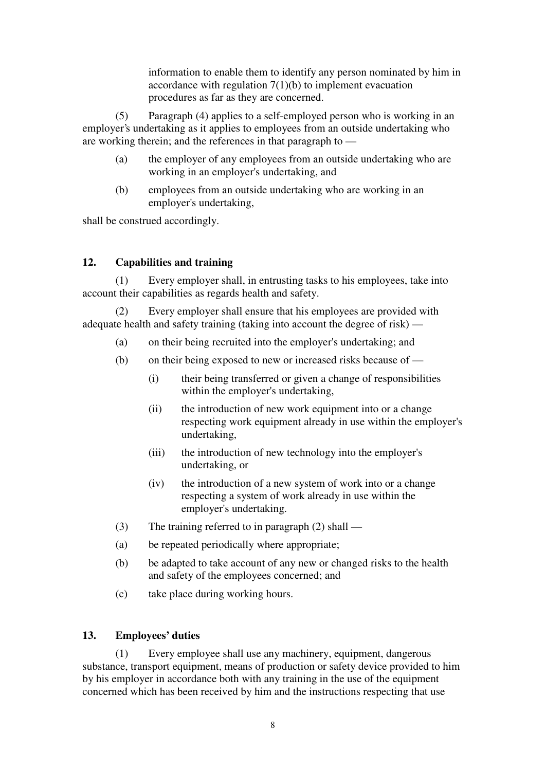information to enable them to identify any person nominated by him in accordance with regulation  $7(1)(b)$  to implement evacuation procedures as far as they are concerned.

(5) Paragraph (4) applies to a self-employed person who is working in an employer's undertaking as it applies to employees from an outside undertaking who are working therein; and the references in that paragraph to -

- (a) the employer of any employees from an outside undertaking who are working in an employer's undertaking, and
- (b) employees from an outside undertaking who are working in an employer's undertaking,

shall be construed accordingly.

## **12. Capabilities and training**

(1) Every employer shall, in entrusting tasks to his employees, take into account their capabilities as regards health and safety.

(2) Every employer shall ensure that his employees are provided with adequate health and safety training (taking into account the degree of risk) —

- (a) on their being recruited into the employer's undertaking; and
- (b) on their being exposed to new or increased risks because of
	- (i) their being transferred or given a change of responsibilities within the employer's undertaking,
	- (ii) the introduction of new work equipment into or a change respecting work equipment already in use within the employer's undertaking,
	- (iii) the introduction of new technology into the employer's undertaking, or
	- (iv) the introduction of a new system of work into or a change respecting a system of work already in use within the employer's undertaking.
- (3) The training referred to in paragraph (2) shall —
- (a) be repeated periodically where appropriate;
- (b) be adapted to take account of any new or changed risks to the health and safety of the employees concerned; and
- (c) take place during working hours.

## **13. Employees' duties**

(1) Every employee shall use any machinery, equipment, dangerous substance, transport equipment, means of production or safety device provided to him by his employer in accordance both with any training in the use of the equipment concerned which has been received by him and the instructions respecting that use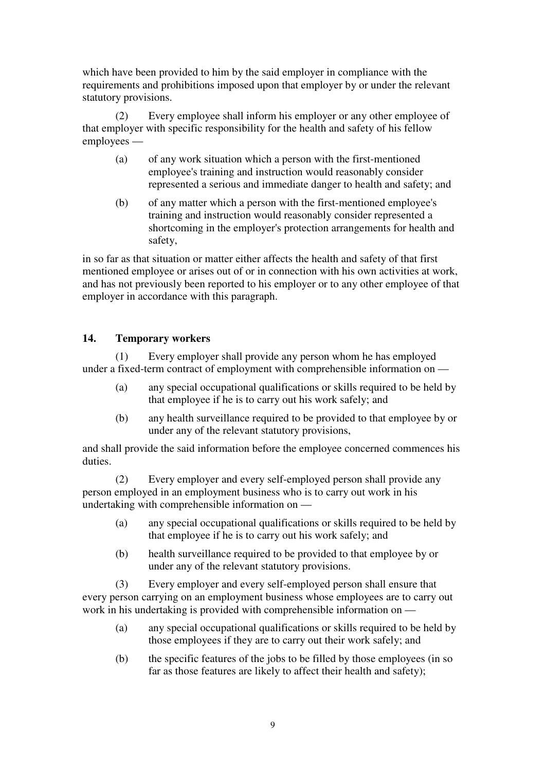which have been provided to him by the said employer in compliance with the requirements and prohibitions imposed upon that employer by or under the relevant statutory provisions.

(2) Every employee shall inform his employer or any other employee of that employer with specific responsibility for the health and safety of his fellow employees —

- (a) of any work situation which a person with the first-mentioned employee's training and instruction would reasonably consider represented a serious and immediate danger to health and safety; and
- (b) of any matter which a person with the first-mentioned employee's training and instruction would reasonably consider represented a shortcoming in the employer's protection arrangements for health and safety,

in so far as that situation or matter either affects the health and safety of that first mentioned employee or arises out of or in connection with his own activities at work, and has not previously been reported to his employer or to any other employee of that employer in accordance with this paragraph.

## **14. Temporary workers**

(1) Every employer shall provide any person whom he has employed under a fixed-term contract of employment with comprehensible information on —

- (a) any special occupational qualifications or skills required to be held by that employee if he is to carry out his work safely; and
- (b) any health surveillance required to be provided to that employee by or under any of the relevant statutory provisions,

and shall provide the said information before the employee concerned commences his duties.

(2) Every employer and every self-employed person shall provide any person employed in an employment business who is to carry out work in his undertaking with comprehensible information on —

- (a) any special occupational qualifications or skills required to be held by that employee if he is to carry out his work safely; and
- (b) health surveillance required to be provided to that employee by or under any of the relevant statutory provisions.

(3) Every employer and every self-employed person shall ensure that every person carrying on an employment business whose employees are to carry out work in his undertaking is provided with comprehensible information on —

- (a) any special occupational qualifications or skills required to be held by those employees if they are to carry out their work safely; and
- (b) the specific features of the jobs to be filled by those employees (in so far as those features are likely to affect their health and safety);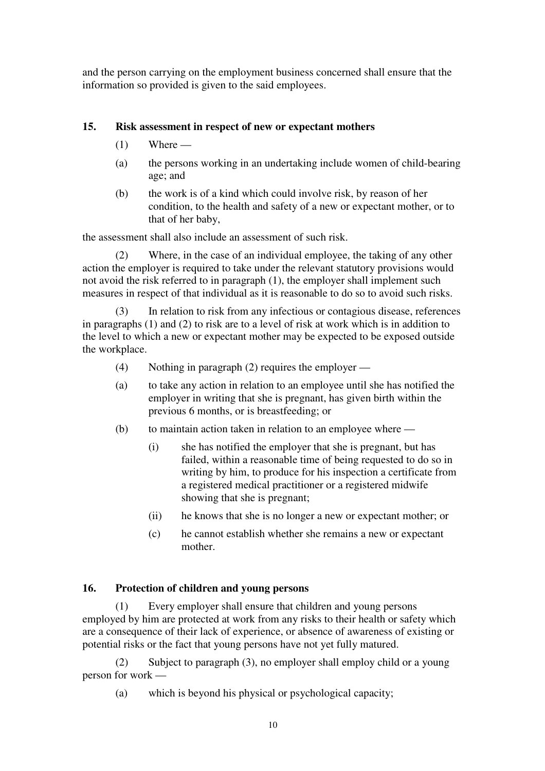and the person carrying on the employment business concerned shall ensure that the information so provided is given to the said employees.

## **15. Risk assessment in respect of new or expectant mothers**

- $(1)$  Where —
- (a) the persons working in an undertaking include women of child-bearing age; and
- (b) the work is of a kind which could involve risk, by reason of her condition, to the health and safety of a new or expectant mother, or to that of her baby,

the assessment shall also include an assessment of such risk.

(2) Where, in the case of an individual employee, the taking of any other action the employer is required to take under the relevant statutory provisions would not avoid the risk referred to in paragraph (1), the employer shall implement such measures in respect of that individual as it is reasonable to do so to avoid such risks.

(3) In relation to risk from any infectious or contagious disease, references in paragraphs (1) and (2) to risk are to a level of risk at work which is in addition to the level to which a new or expectant mother may be expected to be exposed outside the workplace.

- (4) Nothing in paragraph (2) requires the employer —
- (a) to take any action in relation to an employee until she has notified the employer in writing that she is pregnant, has given birth within the previous 6 months, or is breastfeeding; or
- (b) to maintain action taken in relation to an employee where
	- (i) she has notified the employer that she is pregnant, but has failed, within a reasonable time of being requested to do so in writing by him, to produce for his inspection a certificate from a registered medical practitioner or a registered midwife showing that she is pregnant;
	- (ii) he knows that she is no longer a new or expectant mother; or
	- (c) he cannot establish whether she remains a new or expectant mother.

#### **16. Protection of children and young persons**

(1) Every employer shall ensure that children and young persons employed by him are protected at work from any risks to their health or safety which are a consequence of their lack of experience, or absence of awareness of existing or potential risks or the fact that young persons have not yet fully matured.

(2) Subject to paragraph (3), no employer shall employ child or a young person for work —

(a) which is beyond his physical or psychological capacity;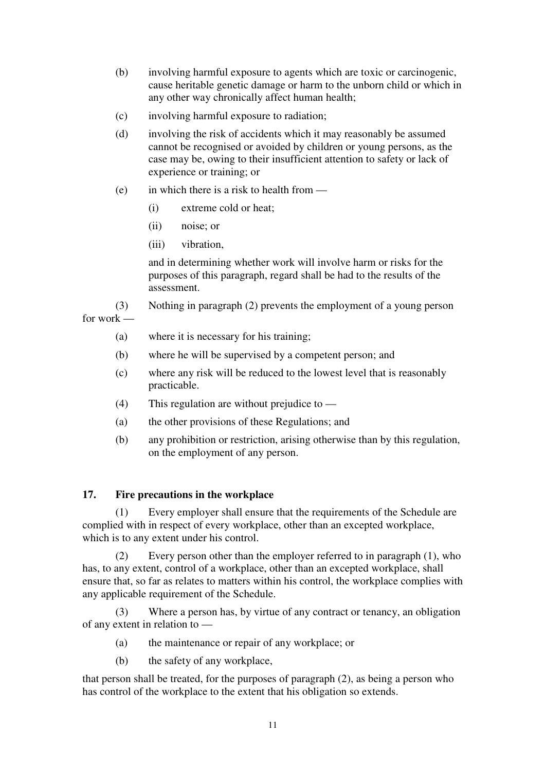- (b) involving harmful exposure to agents which are toxic or carcinogenic, cause heritable genetic damage or harm to the unborn child or which in any other way chronically affect human health;
- (c) involving harmful exposure to radiation;
- (d) involving the risk of accidents which it may reasonably be assumed cannot be recognised or avoided by children or young persons, as the case may be, owing to their insufficient attention to safety or lack of experience or training; or
- (e) in which there is a risk to health from
	- (i) extreme cold or heat;
	- (ii) noise; or
	- (iii) vibration,

and in determining whether work will involve harm or risks for the purposes of this paragraph, regard shall be had to the results of the assessment.

(3) Nothing in paragraph (2) prevents the employment of a young person for work —

- (a) where it is necessary for his training;
- (b) where he will be supervised by a competent person; and
- (c) where any risk will be reduced to the lowest level that is reasonably practicable.
- (4) This regulation are without prejudice to —
- (a) the other provisions of these Regulations; and
- (b) any prohibition or restriction, arising otherwise than by this regulation, on the employment of any person.

## **17. Fire precautions in the workplace**

(1) Every employer shall ensure that the requirements of the Schedule are complied with in respect of every workplace, other than an excepted workplace, which is to any extent under his control.

(2) Every person other than the employer referred to in paragraph (1), who has, to any extent, control of a workplace, other than an excepted workplace, shall ensure that, so far as relates to matters within his control, the workplace complies with any applicable requirement of the Schedule.

(3) Where a person has, by virtue of any contract or tenancy, an obligation of any extent in relation to —

- (a) the maintenance or repair of any workplace; or
- (b) the safety of any workplace,

that person shall be treated, for the purposes of paragraph (2), as being a person who has control of the workplace to the extent that his obligation so extends.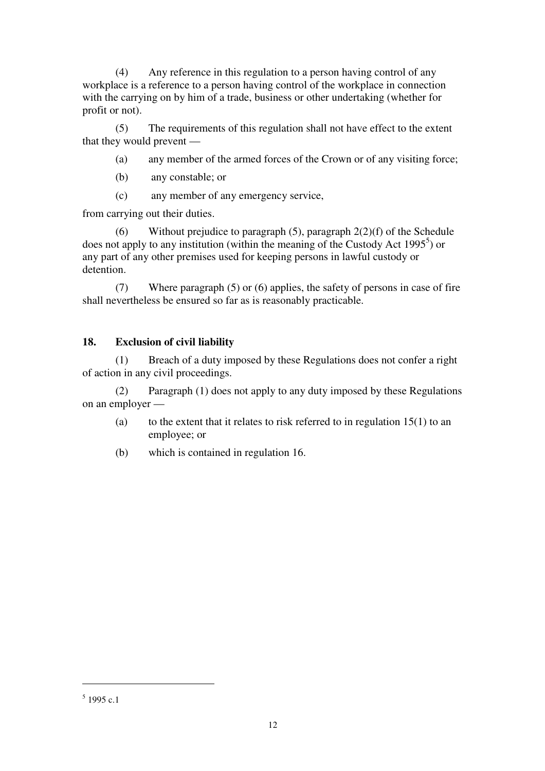(4) Any reference in this regulation to a person having control of any workplace is a reference to a person having control of the workplace in connection with the carrying on by him of a trade, business or other undertaking (whether for profit or not).

(5) The requirements of this regulation shall not have effect to the extent that they would prevent —

- (a) any member of the armed forces of the Crown or of any visiting force;
- (b) any constable; or
- (c) any member of any emergency service,

from carrying out their duties.

(6) Without prejudice to paragraph  $(5)$ , paragraph  $2(2)(f)$  of the Schedule does not apply to any institution (within the meaning of the Custody Act 1995<sup>5</sup>) or any part of any other premises used for keeping persons in lawful custody or detention.

(7) Where paragraph (5) or (6) applies, the safety of persons in case of fire shall nevertheless be ensured so far as is reasonably practicable.

### **18. Exclusion of civil liability**

(1) Breach of a duty imposed by these Regulations does not confer a right of action in any civil proceedings.

(2) Paragraph (1) does not apply to any duty imposed by these Regulations on an employer —

- (a) to the extent that it relates to risk referred to in regulation  $15(1)$  to an employee; or
- (b) which is contained in regulation 16.

 $5$  1995 c.1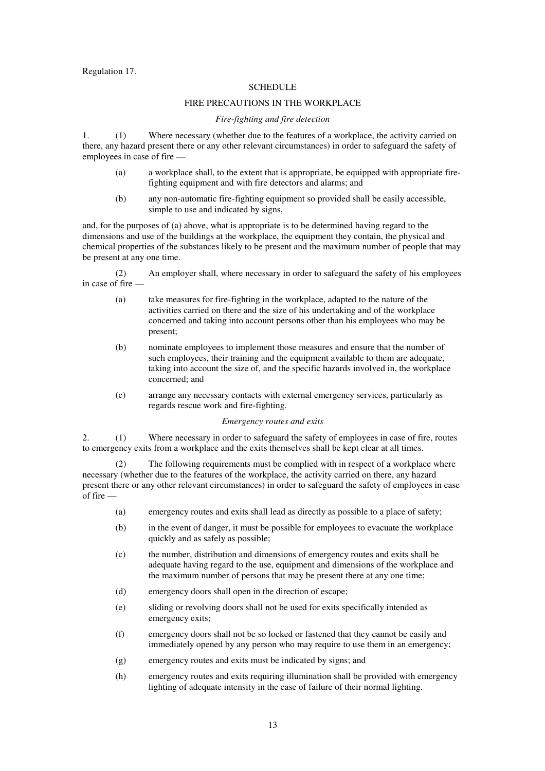#### Regulation 17.

#### **SCHEDULE**

#### FIRE PRECAUTIONS IN THE WORKPLACE

#### *Fire-fighting and fire detection*

1. (1) Where necessary (whether due to the features of a workplace, the activity carried on there, any hazard present there or any other relevant circumstances) in order to safeguard the safety of employees in case of fire —

- (a) a workplace shall, to the extent that is appropriate, be equipped with appropriate firefighting equipment and with fire detectors and alarms; and
- (b) any non-automatic fire-fighting equipment so provided shall be easily accessible, simple to use and indicated by signs,

and, for the purposes of (a) above, what is appropriate is to be determined having regard to the dimensions and use of the buildings at the workplace, the equipment they contain, the physical and chemical properties of the substances likely to be present and the maximum number of people that may be present at any one time.

(2) An employer shall, where necessary in order to safeguard the safety of his employees in case of fire —

- (a) take measures for fire-fighting in the workplace, adapted to the nature of the activities carried on there and the size of his undertaking and of the workplace concerned and taking into account persons other than his employees who may be present;
- (b) nominate employees to implement those measures and ensure that the number of such employees, their training and the equipment available to them are adequate, taking into account the size of, and the specific hazards involved in, the workplace concerned; and
- (c) arrange any necessary contacts with external emergency services, particularly as regards rescue work and fire-fighting.

#### *Emergency routes and exits*

2. (1) Where necessary in order to safeguard the safety of employees in case of fire, routes to emergency exits from a workplace and the exits themselves shall be kept clear at all times.

(2) The following requirements must be complied with in respect of a workplace where necessary (whether due to the features of the workplace, the activity carried on there, any hazard present there or any other relevant circumstances) in order to safeguard the safety of employees in case  $\overline{\text{of}}$  fire  $\overline{\phantom{0}}$ 

- (a) emergency routes and exits shall lead as directly as possible to a place of safety;
- (b) in the event of danger, it must be possible for employees to evacuate the workplace quickly and as safely as possible;
- (c) the number, distribution and dimensions of emergency routes and exits shall be adequate having regard to the use, equipment and dimensions of the workplace and the maximum number of persons that may be present there at any one time;
- (d) emergency doors shall open in the direction of escape;
- (e) sliding or revolving doors shall not be used for exits specifically intended as emergency exits;
- (f) emergency doors shall not be so locked or fastened that they cannot be easily and immediately opened by any person who may require to use them in an emergency;
- (g) emergency routes and exits must be indicated by signs; and
- (h) emergency routes and exits requiring illumination shall be provided with emergency lighting of adequate intensity in the case of failure of their normal lighting.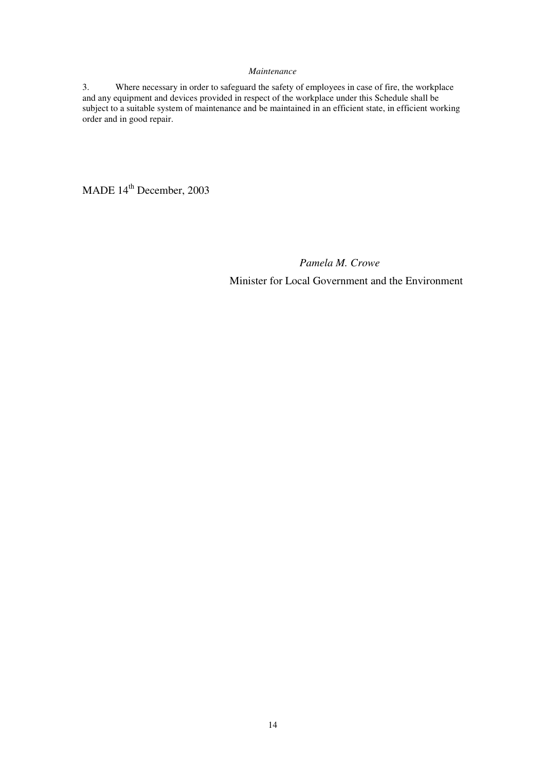#### *Maintenance*

3. Where necessary in order to safeguard the safety of employees in case of fire, the workplace and any equipment and devices provided in respect of the workplace under this Schedule shall be subject to a suitable system of maintenance and be maintained in an efficient state, in efficient working order and in good repair.

MADE 14<sup>th</sup> December, 2003

*Pamela M. Crowe* Minister for Local Government and the Environment